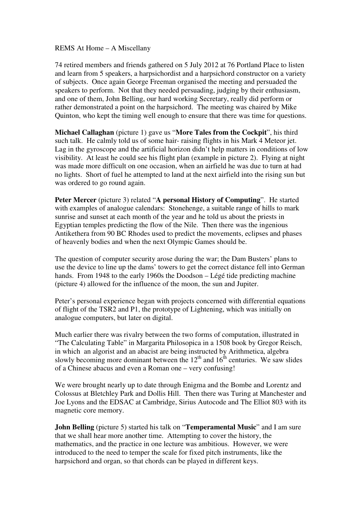## REMS At Home – A Miscellany

74 retired members and friends gathered on 5 July 2012 at 76 Portland Place to listen and learn from 5 speakers, a harpsichordist and a harpsichord constructor on a variety of subjects. Once again George Freeman organised the meeting and persuaded the speakers to perform. Not that they needed persuading, judging by their enthusiasm, and one of them, John Belling, our hard working Secretary, really did perform or rather demonstrated a point on the harpsichord. The meeting was chaired by Mike Quinton, who kept the timing well enough to ensure that there was time for questions.

**Michael Callaghan** (picture 1) gave us "**More Tales from the Cockpit**", his third such talk. He calmly told us of some hair- raising flights in his Mark 4 Meteor jet. Lag in the gyroscope and the artificial horizon didn't help matters in conditions of low visibility. At least he could see his flight plan (example in picture 2). Flying at night was made more difficult on one occasion, when an airfield he was due to turn at had no lights. Short of fuel he attempted to land at the next airfield into the rising sun but was ordered to go round again.

**Peter Mercer** (picture 3) related "**A personal History of Computing**". He started with examples of analogue calendars: Stonehenge, a suitable range of hills to mark sunrise and sunset at each month of the year and he told us about the priests in Egyptian temples predicting the flow of the Nile. Then there was the ingenious Antikethera from 90 BC Rhodes used to predict the movements, eclipses and phases of heavenly bodies and when the next Olympic Games should be.

The question of computer security arose during the war; the Dam Busters' plans to use the device to line up the dams' towers to get the correct distance fell into German hands. From 1948 to the early 1960s the Doodson – Légé tide predicting machine (picture 4) allowed for the influence of the moon, the sun and Jupiter.

Peter's personal experience began with projects concerned with differential equations of flight of the TSR2 and P1, the prototype of Lightening, which was initially on analogue computers, but later on digital.

Much earlier there was rivalry between the two forms of computation, illustrated in "The Calculating Table" in Margarita Philosopica in a 1508 book by Gregor Reisch, in which an algorist and an abacist are being instructed by Arithmetica, algebra slowly becoming more dominant between the  $12<sup>th</sup>$  and  $16<sup>th</sup>$  centuries. We saw slides of a Chinese abacus and even a Roman one – very confusing!

We were brought nearly up to date through Enigma and the Bombe and Lorentz and Colossus at Bletchley Park and Dollis Hill. Then there was Turing at Manchester and Joe Lyons and the EDSAC at Cambridge, Sirius Autocode and The Elliot 803 with its magnetic core memory.

**John Belling** (picture 5) started his talk on "**Temperamental Music**" and I am sure that we shall hear more another time. Attempting to cover the history, the mathematics, and the practice in one lecture was ambitious. However, we were introduced to the need to temper the scale for fixed pitch instruments, like the harpsichord and organ, so that chords can be played in different keys.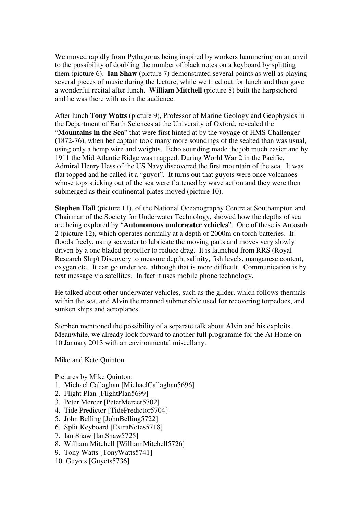We moved rapidly from Pythagoras being inspired by workers hammering on an anvil to the possibility of doubling the number of black notes on a keyboard by splitting them (picture 6). **Ian Shaw** (picture 7) demonstrated several points as well as playing several pieces of music during the lecture, while we filed out for lunch and then gave a wonderful recital after lunch. **William Mitchell** (picture 8) built the harpsichord and he was there with us in the audience.

After lunch **Tony Watts** (picture 9), Professor of Marine Geology and Geophysics in the Department of Earth Sciences at the University of Oxford, revealed the "**Mountains in the Sea**" that were first hinted at by the voyage of HMS Challenger (1872-76), when her captain took many more soundings of the seabed than was usual, using only a hemp wire and weights. Echo sounding made the job much easier and by 1911 the Mid Atlantic Ridge was mapped. During World War 2 in the Pacific, Admiral Henry Hess of the US Navy discovered the first mountain of the sea. It was flat topped and he called it a "guyot". It turns out that guyots were once volcanoes whose tops sticking out of the sea were flattened by wave action and they were then submerged as their continental plates moved (picture 10).

**Stephen Hall** (picture 11), of the National Oceanography Centre at Southampton and Chairman of the Society for Underwater Technology, showed how the depths of sea are being explored by "**Autonomous underwater vehicles**". One of these is Autosub 2 (picture 12), which operates normally at a depth of 2000m on torch batteries. It floods freely, using seawater to lubricate the moving parts and moves very slowly driven by a one bladed propeller to reduce drag. It is launched from RRS (Royal Research Ship) Discovery to measure depth, salinity, fish levels, manganese content, oxygen etc. It can go under ice, although that is more difficult. Communication is by text message via satellites. In fact it uses mobile phone technology.

He talked about other underwater vehicles, such as the glider, which follows thermals within the sea, and Alvin the manned submersible used for recovering torpedoes, and sunken ships and aeroplanes.

Stephen mentioned the possibility of a separate talk about Alvin and his exploits. Meanwhile, we already look forward to another full programme for the At Home on 10 January 2013 with an environmental miscellany.

Mike and Kate Quinton

Pictures by Mike Quinton:

- 1. Michael Callaghan [MichaelCallaghan5696]
- 2. Flight Plan [FlightPlan5699]
- 3. Peter Mercer [PeterMercer5702]
- 4. Tide Predictor [TidePredictor5704}
- 5. John Belling [JohnBelling5722]
- 6. Split Keyboard [ExtraNotes5718]
- 7. Ian Shaw [IanShaw5725]
- 8. William Mitchell [WilliamMitchell5726]
- 9. Tony Watts [TonyWatts5741]
- 10. Guyots [Guyots5736]